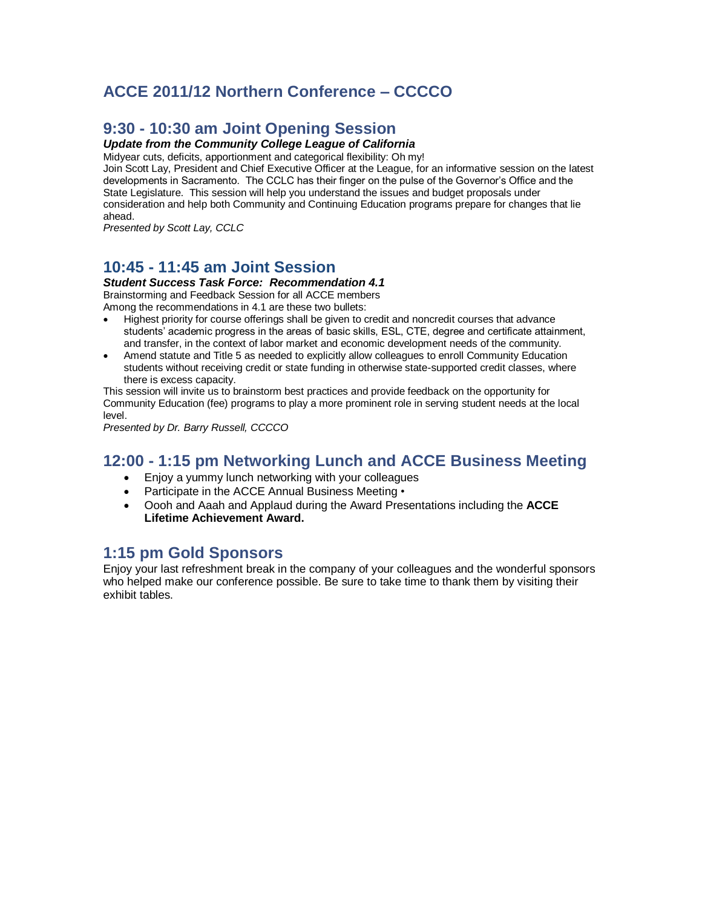# **ACCE 2011/12 Northern Conference – CCCCO**

# **9:30 - 10:30 am Joint Opening Session**

#### *Update from the Community College League of California*

Midyear cuts, deficits, apportionment and categorical flexibility: Oh my!

Join Scott Lay, President and Chief Executive Officer at the League, for an informative session on the latest developments in Sacramento. The CCLC has their finger on the pulse of the Governor's Office and the State Legislature. This session will help you understand the issues and budget proposals under consideration and help both Community and Continuing Education programs prepare for changes that lie ahead.

*Presented by Scott Lay, CCLC*

### **10:45 - 11:45 am Joint Session**

#### *Student Success Task Force: Recommendation 4.1*

Brainstorming and Feedback Session for all ACCE members

Among the recommendations in 4.1 are these two bullets:

- Highest priority for course offerings shall be given to credit and noncredit courses that advance students' academic progress in the areas of basic skills, ESL, CTE, degree and certificate attainment, and transfer, in the context of labor market and economic development needs of the community.
- Amend statute and Title 5 as needed to explicitly allow colleagues to enroll Community Education students without receiving credit or state funding in otherwise state-supported credit classes, where there is excess capacity.

This session will invite us to brainstorm best practices and provide feedback on the opportunity for Community Education (fee) programs to play a more prominent role in serving student needs at the local level.

*Presented by Dr. Barry Russell, CCCCO*

### **12:00 - 1:15 pm Networking Lunch and ACCE Business Meeting**

- Enjoy a yummy lunch networking with your colleagues
- Participate in the ACCE Annual Business Meeting •
- Oooh and Aaah and Applaud during the Award Presentations including the **ACCE Lifetime Achievement Award.**

# **1:15 pm Gold Sponsors**

Enjoy your last refreshment break in the company of your colleagues and the wonderful sponsors who helped make our conference possible. Be sure to take time to thank them by visiting their exhibit tables.